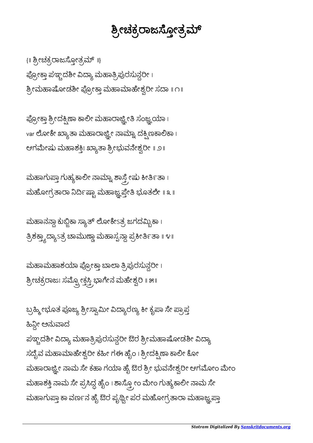ಬ್ರಹ್ಮೀಭೂತ ಪೂಜ್ಯ ಶ್ರೀಸ್ವಾಮೀ ವಿದ್ಯಾರಣ್ಯ ಕೀ ಕೃಪಾ ಸೇ ಪ್ರಾಪ್ತ ಹಿನ್ಲೀ ಅನುವಾದ ಪಞ್ಚದಶೀ ವಿದ್ಯಾ ಮಹಾತ್ರಿಪುರಸುನ್ದರೀ ಔರ ಶ್ರೀಮಹಾಷೋಡಶೀ ವಿದ್ಯಾ ಸದೈವ ಮಹಾಮಾಹೇಶ್ವರೀ ಕಹೀ ಗಈ ಹೈಂ । ಶ್ರೀದಕ್ಷಿಣಾ ಕಾಲೀ ಕೋ ಮಹಾರಾಜ್ಞ್ರೀ ನಾಮ ಸೇ ಕಹಾ ಗಯಾ ಹೈ ಔರ ಶ್ರೀ ಭುವನೇಶ್ವರೀ ಆಗಮೋಂ ಮೇಂ ಮಹಾಶಕ್ತಿ ನಾಮ ಸೇ ಪ್ರಸಿದ್ಧ ಹೈಂ । ಶಾಸ್ತ್ರೋಂ ಮೇಂ ಗುಹ್ಯಕಾಲೀ ನಾಮ ಸೇ ಮಹಾಗುಪ್ತಾ ಕಾ ವರ್ಣನ ಹೈ ಔರ ಪೃಥ್ವೀ ಪರ ಮಹೋಗ್ರತಾರಾ ಮಹಾಜ್ಞ ಪ್ತಾ

ಮಹಾಮಹಾಶಯಾ ಪ್ರೋಕ್ತಾ ಬಾಲಾ ತ್ರಿಪುರಸುನ್ದರೀ। ಶ್ರೀಚಕ್ರರಾಜಃ ಸಮ್ಪ್ರೋಕ್ತಸ್ತ್ರಿ ಭಾಗೇನ ಮಹೇಶ್ವರಿ ॥ ೫॥

ಮಹಾನನ್ದಾ ಕುಬ್ಜಿಕಾ ಸ್ಯಾತ್ ಲೋಕೇಽತ್ರ ಜಗದಮ್ಬಿಕಾ । ತ್ರಿಶಕ್ತ್ಯಾದ್ಯಾಽತ್ರೆ ಚಾಮುಣ್ಣಾ ಮಹಾಸ್ಪನ್ದಾ ಪ್ರಕೀರ್ತಿತಾ ॥ ೪॥

ಮಹಾಗುಪ್ತಾ ಗುಹ್ಯಕಾಲೀ ನಾಮ್ನಾ ಶಾಸ್ತ್ರೇಷು ಕೀರ್ತಿತಾ । ಮಹೋಗ್ರತಾರಾ ನಿರ್ದಿಷ್ಟಾ ಮಹಾಜ್ಞಪ್ತೇತಿ ಭೂತಲೇ <mark>॥ ೩</mark> ॥

ಪ್ರೋಕ್ತಾ ಶ್ರೀದಕ್ಷಿಣಾ ಕಾಲೀ ಮಹಾರಾಜ್ಞ್ರೀತಿ ಸಂಜ್ಞ್ರಯಾ। var ಲೋಕೇ ಖ್ಯಾತಾ ಮಹಾರಾಜ್ಞ್ರೀ ನಾಮ್ನಾ ದಕ್ಷಿಣಕಾಲಿಕಾ । ಆಗಮೇಷು ಮಹಾಶಕ್ತಿಃ ಖ್ಯಾತಾ ಶ್ರೀಭುವನೇಶ್ವರೀ ॥ ೨॥

{ || ಶ್ರೀಚಕ್ರರಾಜಸ್ತೋತ್ರಮ್ ||} ಪ್ರೋಕ್ತಾ ಪಞ್ಚದಶೀ ವಿದ್ಯಾ ಮಹಾತ್ರಿಪುರಸುನ್ದರೀ । ಶ್ರೀಮಹಾಷೋಡಶೀ ಪ್ರೋಕ್ತಾ ಮಹಾಮಾಹೇಶ್ವರೀ ಸದಾ ॥ ೧॥

## ಶ್ರೀಚಕ್ರರಾಜಸ್ತೋತ್ರಮ್